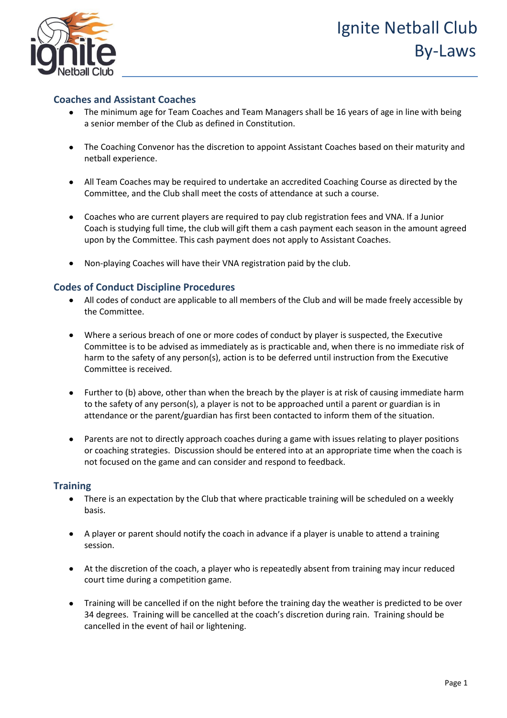



### **Coaches and Assistant Coaches**

- The minimum age for Team Coaches and Team Managers shall be 16 years of age in line with being a senior member of the Club as defined in Constitution.
- The Coaching Convenor has the discretion to appoint Assistant Coaches based on their maturity and netball experience.
- All Team Coaches may be required to undertake an accredited Coaching Course as directed by the Committee, and the Club shall meet the costs of attendance at such a course.
- Coaches who are current players are required to pay club registration fees and VNA. If a Junior Coach is studying full time, the club will gift them a cash payment each season in the amount agreed upon by the Committee. This cash payment does not apply to Assistant Coaches.
- Non-playing Coaches will have their VNA registration paid by the club.

### **Codes of Conduct Discipline Procedures**

- All codes of conduct are applicable to all members of the Club and will be made freely accessible by the Committee.
- Where a serious breach of one or more codes of conduct by player is suspected, the Executive Committee is to be advised as immediately as is practicable and, when there is no immediate risk of harm to the safety of any person(s), action is to be deferred until instruction from the Executive Committee is received.
- Further to (b) above, other than when the breach by the player is at risk of causing immediate harm to the safety of any person(s), a player is not to be approached until a parent or guardian is in attendance or the parent/guardian has first been contacted to inform them of the situation.
- Parents are not to directly approach coaches during a game with issues relating to player positions or coaching strategies. Discussion should be entered into at an appropriate time when the coach is not focused on the game and can consider and respond to feedback.

### **Training**

- There is an expectation by the Club that where practicable training will be scheduled on a weekly basis.
- A player or parent should notify the coach in advance if a player is unable to attend a training session.
- At the discretion of the coach, a player who is repeatedly absent from training may incur reduced court time during a competition game.
- Training will be cancelled if on the night before the training day the weather is predicted to be over 34 degrees. Training will be cancelled at the coach's discretion during rain. Training should be cancelled in the event of hail or lightening.